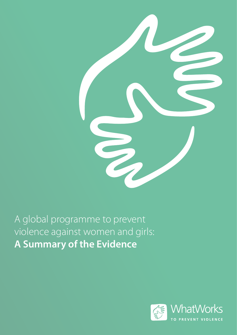

A global programme to prevent violence against women and girls: **A Summary of the Evidence**

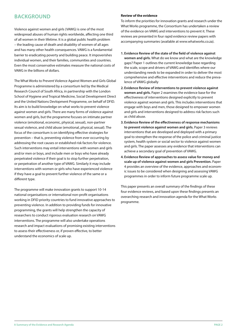### **BACKGROUND**

Violence against women and girls (VAWG) is one of the most widespread abuses of human rights worldwide, affecting one third of all women in their lifetime. It is a global public health problem – the leading cause of death and disability of women of all ages and has many other health consequences. VAWG is a fundamental barrier to eradicating poverty and building peace. It impoverishes individual women, and their families, communities and countries. Even the most conservative estimates measure the national costs of VAWG in the billions of dollars.

The What Works to Prevent Violence Against Women and Girls Global Programme is administered by a consortium led by the Medical Research Council of South Africa, in partnership with the London School of Hygiene and Tropical Medicine, Social Development Direct and the United Nations Devlopment Programme, on behalf of DFID. Its aim is to build knowledge on what works to prevent violence against women and girls. There are many forms of violence against women and girls, but the programme focuses on intimate partner violence (emotional, economic, physical, sexual), non-partner sexual violence, and child abuse (emotional, physical, sexual). The focus of the consortium is on identifying effective strategies for prevention – that is, preventing violence from ever occurring by addressing the root causes or established risk factors for violence. Such interventions may entail interventions with women and girls and/or men or boys, and include men or boys who have already perpetrated violence if their goal is to stop further perpetration, or perpetration of another type of VAWG. Similarly it may include interventions with women or girls who have experienced violence if they have a goal to prevent further violence of the same or a different type.

The programme will make innovation grants to support 10-14 national organisations or international non-profit organisations working in DFID priority countries to fund innovative approaches to preventing violence. In addition to providing funds for innovative programming, the grants will help strengthen the capacity of researchers to conduct rigorous evaluation research on VAWG interventions. The programme will also undertake operations research and impact evaluations of promising existing interventions to assess their effectiveness or, if proven effective, to better understand the economics of scale up.

### **Review of the evidence**

To inform the priorities for innovation grants and research under the What Works programme, the Consortium has undertaken a review of the evidence on VAWG and interventions to prevent it. These reviews are presented in four rapid evidence review papers with accompanying summaries (available at www.whatworks.co.za).

- **1. Evidence Review of the state of the field of violence against women and girls.** What do we know and what are the knowledge gaps? Paper 1 outlines the current knowledge base regarding the scale, scope and drivers of VAWG and identifies where our understanding needs to be expanded in order to deliver the most comprehensive and effective interventions and reduce the prevalence of VAWG globally
- **2. Evidence Review of interventions to prevent violence against women and girls.** Paper 2 examines the evidence base for the effectiveness of interventions designed explicitly to prevent violence against women and girls. This includes interventions that engage with boys and men, those designed to empower women and girls and interventions designed to address risk factors such as child abuse.
- **3. Evidence Review of the effectiveness of response mechanisms to prevent violence against women and girls.** Paper 3 reviews interventions that are developed and deployed with a primary goal to strengthen the response of the police and criminal justice system, health system or social sector to violence against women and girls. The paper assesses any evidence that interventions can achieve a secondary goal of prevention of VAWG.
- **4. Evidence Review of approaches to assess value for money and scale up of violence against women and girls Prevention.** Paper 4 provides an overview of the evidence, approaches and economic issues to be considered when designing and assessing VAWG programmes in order to inform future programme scale up.

This paper presents an overall summary of the findings of these four evidence reviews, and based upon these findings presents an overarching research and innovation agenda for the What Works programme.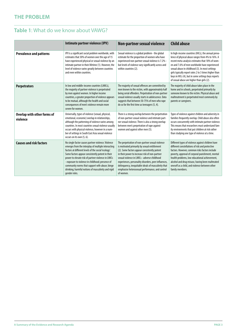# **The problem**

# **Table 1**: What do we know about VAWG?

|                                         | Intimate partner violence (IPV)                                                                                                                                                                                                                                                                                                                                                                                                                         | Non-partner sexual violence                                                                                                                                                                                                                                                                                                                                                                                                      | <b>Child abuse</b>                                                                                                                                                                                                                                                                                                                                                                                                          |
|-----------------------------------------|---------------------------------------------------------------------------------------------------------------------------------------------------------------------------------------------------------------------------------------------------------------------------------------------------------------------------------------------------------------------------------------------------------------------------------------------------------|----------------------------------------------------------------------------------------------------------------------------------------------------------------------------------------------------------------------------------------------------------------------------------------------------------------------------------------------------------------------------------------------------------------------------------|-----------------------------------------------------------------------------------------------------------------------------------------------------------------------------------------------------------------------------------------------------------------------------------------------------------------------------------------------------------------------------------------------------------------------------|
| <b>Prevalence and patterns</b>          | IPV is a significant social problem worldwide, with<br>estimates that 30% of women over the age of 15<br>have experienced physical or sexual violence by an<br>intimate partner in their lifetime (1). However, the<br>level of violence varies greatly between countries<br>and even within countries.                                                                                                                                                 | Sexual violence is a global problem - the global<br>estimate for the proportion of women who have<br>experienced non-partner sexual violence is 7.2% -<br>but levels of violence vary significantly across and<br>within countries (2).                                                                                                                                                                                          | In high-income countries (HICs), the annual preva-<br>lence of physical abuse ranges from 4% to 16%. A<br>recent meta-analysis estimates that 18% of wom-<br>en and 7.6% of men worldwide have experienced<br>sexual abuse in childhood (3). In most settings<br>girls typically report rates 2 to 3 times higher than<br>boys in HICs (4), but in some settings boys reports<br>of sexual abuse are higher than girls (2). |
| <b>Perpetrators</b>                     | In low and middle-income countries (LMICs),<br>the majority of partner violence is perpetrated<br>by men against women. In higher income<br>countries, a greater proportion of violence appears<br>to be mutual, although the health and social<br>consequences of men's violence remain more<br>severe for women.                                                                                                                                      | The majority of sexual offences are committed by<br>men known to the victim, with approximately half<br>being serial offenders. Perpetration of non-partner<br>sexual violence usually starts in adolescence. Data<br>suggests that between 50-75% of men who rape<br>do so for the first time as teenagers (5, 4).                                                                                                              | The majority of child abuse takes place in the<br>home and in schools, perpetrated primarily by<br>someone known to the victim. Physical abuse and<br>maltreatment is perpetrated most commonly by<br>parents or caregivers.                                                                                                                                                                                                |
| Overlap with other forms of<br>violence | Universally, types of violence (sexual, physical,<br>emotional, economic) overlap in relationships,<br>although the patterning of violence varies among<br>countries. In most countries sexual violence usually<br>occurs with physical violence, however in a num-<br>ber of settings in South East Asia sexual violence<br>occurs on its own (5, 6).                                                                                                  | There is a strong overlap between the perpetration<br>of non-partner sexual violence and intimate part-<br>ner sexual violence. There is also a strong overlap<br>between men's perpetration of rape against<br>women and against other men (5).                                                                                                                                                                                 | Types of violence against children and adversity in<br>families frequently overlap. Child abuse also often<br>occurs concurrently with intimate partner violence.<br>This means that researchers must understand fam-<br>ily environments that put children at risk rather<br>than studying one type of violence at a time.                                                                                                 |
| <b>Causes and risk factors</b>          | No single factor causes partner violence. Violence<br>emerges from the interplay of multiple interacting<br>factors at different levels of the social 'ecology'.<br>Some factors appear consistently potent in their<br>power to elevate risk of partner violence in LMICs<br>- exposure to violence in childhood; presence of<br>community norms that support wife abuse; binge<br>drinking; harmful notions of masculinity and rigid<br>gender roles. | The perpetration of non-partner sexual violence<br>is motivated primarily by sexual entitlement<br>(2). Some factors appear consistently potent<br>in their power to increase risk of non-partner<br>sexual violence in LMICs - adverse childhood<br>experiences, personality disorders, peer influences,<br>delinquency, inequitable ideals of masculinity that<br>emphasise heterosexual performance, and control<br>of women. | Different types of violence against children have<br>different constellations of risk and protective<br>factors. However, common risks factors include<br>poverty, approval of corporal punishment, mental<br>health problems, low educational achievement,<br>alcohol and drug misuse, having been maltreated<br>oneself as a child, and violence between other<br>family members.                                         |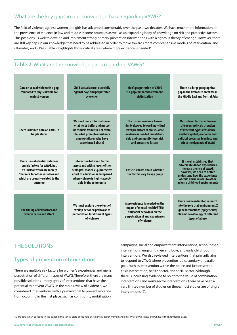### What are the key gaps in our knowledge base regarding VAWG?

The field of violence against women and girls has advanced considerably over the past two decades. We have much more information on the prevalence of violence in low and middle income countries as well as an expanding body of knowledge on risk and protective factors. This positions us well to develop and implement strong primary prevention interventions with a rigorous theory of change. However, there are still key gaps in our knowledge that need to be addressed in order to move towards more comprehensive models of intervention, and ultimately end VAWG. Table 2 highlights those critical areas where more evidence is needed<sup>1</sup>.

# **Table 2**: What are the knowledge gaps regarding VAWG?

| Data on sexual violence is a gap<br>compared to physical violence<br>against women                                                                                                     | <b>Child sexual abuse, especially</b><br>against boys and perpetrated<br>by women                                                                                                                         | <b>Men's perpetration of VAWG</b><br>is a gap compared to women's<br>victimization                                                                                                               | There is a large geographical<br>gap in the literature on VAWG in<br>the Middle East and Central Asia                                                                                                                          |
|----------------------------------------------------------------------------------------------------------------------------------------------------------------------------------------|-----------------------------------------------------------------------------------------------------------------------------------------------------------------------------------------------------------|--------------------------------------------------------------------------------------------------------------------------------------------------------------------------------------------------|--------------------------------------------------------------------------------------------------------------------------------------------------------------------------------------------------------------------------------|
| There is limited data on VAWG in<br>fragile states                                                                                                                                     | We need more information on<br>what helps buffer and protect<br>individuals from risk. For exam-<br>ple, what promotes resilience<br>among children who have<br>experienced abuse?                        | The current evidence base is<br>highly skewed toward individual<br>level predictors of abuse. More<br>evidence is needed on relation-<br>ship and community-level risk<br>and protective factors | <b>Macro-level factors influence</b><br>the geographic distribution<br>of different types of violence<br>and how global, economic and<br>political processes feed into and<br>affect the dynamic of VAWG                       |
| There is a substantial database<br>on risk factors for VAWG, but<br>it's unclear which are merely<br>'markers' for other variables and<br>which are causally related to the<br>outcome | <b>Interaction between factors</b><br>across and within levels of the<br>ecological model. e.g. protective<br>effect of education is dampened<br>when violence is highly accept-<br>able in the community | Little is known about whether<br>risk factors vary by age group                                                                                                                                  | It is well established that<br>adverse childhood experiences<br>increase the risk of VAWG,<br>however, we need to better<br>understand how the experience<br>of child abuse relates to other<br>adverse childhood environments |
| The timing of risk factors and<br>what is cause and effect                                                                                                                             | We must explore the extent of<br>overlap between pathways to<br>perpetration for different types<br>of violence                                                                                           | More evidence is needed on the<br>impact of mental health/PTSD/<br>antisocial behaviour on the<br>perpetration of and experiences<br>of violence                                                 | There has been limited research<br>into the role that environment X<br>gene interactions (epigenetics)<br>play in the aetiology of different<br>types of abuse                                                                 |

# The Solutions

### **Types of prevention interventions**

There are multiple risk factors for women's experiences and men's perpetration of different types of VAWG. Therefore, there are many possible solutions - many types of interventions that have the potential to prevent VAWG. In the rapid review of evidence, we considered interventions with a primary goal to prevent violence from occurring in the first place, such as community mobilisation

campaigns, social and empowerment interventions, school-based interventions, engaging men and boys, and early childhood interventions. We also reviewed interventions that primarily aim to respond to VAWG where prevention is a secondary or parallel goal, such as intervention within the police and justice sector, crisis intervention, health sector, and social sector. Although, there is increasing evidence to point to the value of combination interventions and multi-sector interventions, there have been a very limited number of studies on these; most studies are of single interventions (2).

<sup>1</sup> More details can be found in the paper in this series, State of the field of violence against women and girls: What do we know and what are the knowledge gaps?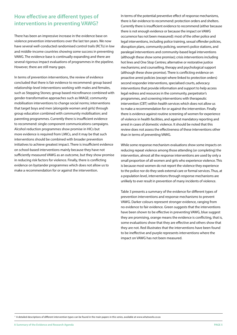# **How effective are different types of interventions in preventing VAWG?**

There has been an impressive increase in the evidence base on violence prevention interventions over the last ten years. We now have several well-conducted randomised control trails (RCTs) in low and middle-income countries showing some success in preventing VAWG. The evidence base is continually expanding and there are several rigorous impact evaluations of programmes in the pipeline. However, there are still many gaps.

In terms of prevention interventions, the review of evidence concluded that there is fair evidence to recommend: group based relationship-level interventions working with males and females, such as Stepping Stones; group based microfinance combined with gender-transformative approaches such as IMAGE; community mobilisation interventions to change social norms; interventions that target boys and men (alongside women and girls) through group education combined with community mobilisation; and parenting programmes. Currently there is insufficient evidence to recommend: single component communications campaigns. Alcohol reduction programmes show promise in HICs but more evidence is required from LMICs, and it may be that such interventions should be combined with broader prevention initiatives to achieve greatest impact. There is insufficient evidence on school-based interventions mainly because they have not sufficiently measured VAWG as an outcome, but they show promise in reducing risk factors for violence. Finally, there is conflicting evidence on bystander programmes which does not allow us to make a recommendation for or against the intervention.

In terms of the potential preventive effect of response mechanisms, there is fair evidence to recommend: protection orders and shelters. Currently there is insufficient evidence to recommend (either because there is not enough evidence or because the impact on VAWG occurrence has not been measured): most of the other police and legal interventions, including police training, sexual offender policies, disruption plans, community policing, women's police stations, and paralegal interventions and community-based legal interventions (although these show some promise); crisis interventions including hot lines and One Stop Centres; alternative or restorative justice mechanisms; and counselling, therapy and psychological support (although these show promise). There is conflicting evidence on proactive arrest policies (except where linked to protection orders) second responder interventions, specialised courts, advocacy interventions that provide information and support to help access legal redress and resources in the community, perpetrator's programmes, and screening interventions with therapeutic intervention (CBT) within health services which does not allow us to make a recommendation for or against the intervention. Finally there is evidence against routine screening of women for experience of violence in health facilities, and against mandatory reporting and arrest in cases of domestic violence. It should be noted that this review does not assess the effectiveness of these interventions other than in terms of preventing VAWG.

While some response mechanism evaluations show some impacts on reducing repeat violence among those attending (or completing) the intervention, almost all the response interventions are used by only a small proportion of all women and girls who experience violence. This is because most women do not report the violence they experience to the police nor do they seek external care or formal services. Thus, at a population level, interventions through response mechanisms are unlikely to ever result in prevention of many incidents of violence.

Table 3 presents a summary of the evidence for different types of prevention interventions and response mechanisms to prevent VAWG. Darker colours represent stronger evidence, ranging from no evidence to fair evidence. Green suggests that the interventions have been shown to be effective in preventing VAWG, blue suggest they are promising, orange means the evidence is conflicting, that is, some evaluations show that they are effective and others show that they are not. Red illustrates that the interventions have been found to be ineffective and purple represents interventions where the impact on VAWG has not been measured.

<sup>2</sup> A detailed descriptions of different intervention types can be found in the main papers in this series, available at www.whatworks.co.za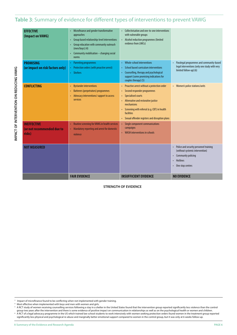### **Table 3**: Summary of evidence for different types of interventions to prevent VAWG

| <b>EFFECTIVE</b><br>(Impact on VAWG)                       | Microfinance and gender transformative<br>approaches<br>Group based relationship-level interventions<br>$\bullet$<br>Group education with community outreach<br>(men/boys) (4)<br>Community mobilisation - changing social<br>norms | Collectivisation and one-to-one interventions<br>with vulnerable groups<br>Alcohol reduction programmes (limited<br>$\bullet$<br>evidence from LMICs)                                                                                                                                          |                                                                                                                                                                  |
|------------------------------------------------------------|-------------------------------------------------------------------------------------------------------------------------------------------------------------------------------------------------------------------------------------|------------------------------------------------------------------------------------------------------------------------------------------------------------------------------------------------------------------------------------------------------------------------------------------------|------------------------------------------------------------------------------------------------------------------------------------------------------------------|
| <b>PROMISING</b><br>(or impact on risk factors only)       | <b>Parenting programmes</b><br>Protection orders (with proactive arrest)<br><b>Shelters</b>                                                                                                                                         | <b>Whole-school interventions</b><br>$\bullet$<br><b>School based curriculum interventions</b><br>$\bullet$<br>Counselling, therapy and psychological<br>$\bullet$<br>support (some promising indications for<br>couples therapy) (5)                                                          | Paralegal programmes and community-based<br>legal interventions (only one study with very<br>limited follow-up) (6)                                              |
| <b>CONFLICTING</b>                                         | <b>Bystander interventions</b><br>$\bullet$<br><b>Batterers (perpetrators) programmes</b><br>٠<br>Advocacy interventions/ support to access<br>services                                                                             | Proactive arrest without a protection order<br>۰<br>Second responder programmes<br>$\bullet$<br><b>Specialised courts</b><br>Alternative and restorative justice<br>mechanisms<br>Screening with referral (e.g. CBT) in health<br>facilities<br>Sexual offender registers and disruption plans | • Women's police stations/units                                                                                                                                  |
| <b>INEFFECTIVE</b><br>(or not recommended due to<br>risks) | Routine screening for VAWG in health services<br>Mandatory reporting and arrest for domestic<br>٠<br>violence                                                                                                                       | Single component communications<br>campaigns<br><b>WASH</b> interventions in schools                                                                                                                                                                                                           |                                                                                                                                                                  |
| <b>NOT MEASURED</b>                                        |                                                                                                                                                                                                                                     |                                                                                                                                                                                                                                                                                                | Police and security personnel training<br>(without systemic intervention)<br>Community policing<br><b>Hotlines</b><br>$\bullet$<br>One stop centres<br>$\bullet$ |
|                                                            | <b>FAIR EVIDENCE</b>                                                                                                                                                                                                                | <b>INSUFFICIENT EVIDENCE</b>                                                                                                                                                                                                                                                                   | <b>NO EVIDENCE</b>                                                                                                                                               |

### **STRENGTH OF EVIDENCE**

 $5$  A RCT study of women receiving counselling services following a stay in a shelter in the United States found that the intervention group reported significantly less violence than the control group two years after the intervention and there is some evidence of positive impact on communication in relationships as well as on the psychological health or women and children. 6 A RCT of a legal advocacy programme in the US which trained law school students to work intensively with women seeking protection orders found women in the treatment group reported

significantly less physical and psychological re-abuse and marginally better emotional support compared to women in the control group, but it was only at 6 weeks follow-up

**IMPA CT OF I**

**NTERVE**

**UNTION AND DISCUSSIONS** 

 $^3$  Impact of microfinance found to be conflicting when not implemented with gender training.<br><sup>4</sup> Most effective when implemented with boys and men with women and girls.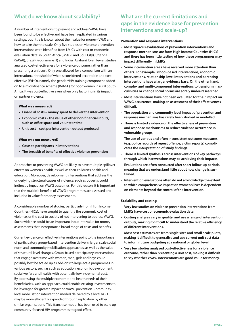# **What do we know about scalability?**

A number of interventions to prevent and address VAWG have been found to be effective and have been replicated in various settings, but little is known about their value for money (VFM) and how to take them to scale. Only five studies on violence prevention interventions were identified from LMICs with cost or economic evaluation data: in South Africa (IMAGE and Soul City), Uganda (SASA!), Brazil (Programme H) and India (Avahan). Even fewer studies analysed cost-effectiveness for a violence outcome, rather than presenting a unit cost. Only one allowed for a comparison with an international threshold of what is considered acceptable and costeffective (WHO), namely the gender/HIV training component added on to a microfinance scheme (IMAGE) for poor women in rural South Africa. It was cost-effective even when only factoring in its impact on partner violence.

#### **What was measured?**

- **• Financial costs money spent to deliver the intervention**
- **• Economic costs the value of other non-financial inputs, such as office space and volunteer time**
- **Unit cost cost per intervention output produced**

#### **What was not measured?**

- **Costs to participants in interventions**
- **• The breadth of benefits of effective violence prevention**

Approaches to preventing VAWG are likely to have multiple spillover effects on women's health, as well as their children's health and education. Moreover, development interventions that address the underlying structural causes of violence, such as poverty, could indirectly impact on VAWG outcomes. For this reason, it is important that the multiple benefits of VAWG programmes are assessed and included in value for money assessments.

A considerable number of studies, particularly from High Income Countries (HICs), have sought to quantify the economic cost of violence, or the cost to society of not intervening to address VAWG. Such evidence could be an important input into value for money assessments that incorporate a broad range of costs and benefits.

Current evidence on effective interventions point to the importance of participatory group-based intervention delivery, larger scale social norm and community mobilisation approaches, as well as the value of structural level changes. Group-based participatory interventions that engage over time with women, men, girls and boys could possibly best be scaled up as add-ons to large-scale programmes in various sectors, such as such as education, economic development, social welfare and health, with potentially low incremental cost. By addressing the multiple economic and health needs of their beneficiaries, such an approach could enable existing investments to be leveraged for greater impact on VAWG prevention. Communitylevel mobilisation intervention models delivered by a local NGO may be more efficiently expanded through replication by other similar organisations. This 'franchise' model has been used to scale up community-focused HIV programmes to good effect.

### **What are the current limitations and gaps in the evidence base for prevention interventions and scale-up?**

#### **Prevention and response interventions**

- **Most rigorous evaluations of prevention interventions and response mechanisms are from High Income Countries (HICs) and there has been little testing of how these programmes may impact differently in LMICs.**
- **- Some intervention areas have received more attention than others. For example, school-based interventions, economic interventions, relationship-level interventions and parenting interventions have a larger evidence base. On the other hand, complex and multi-component interventions to transform masculinities or change social norms are sorely under-researched.**
- **Most interventions have not been evaluated for their impact on VAWG occurrence, making an assessment of their effectiveness difficult.**
- **- The population and community level impact of prevention and response mechanisms has rarely been studied or modelled.**
- **- There is limited evidence on the effectiveness of prevention and response mechanisms to reduce violence occurrence in vulnerable groups.**
- **- The use of various and often inconsistent outcome measures (e.g. police records of repeat offence, victim reports) complicates the interpretation of study findings.**
- **- There is limited synthesis across interventions of key pathways through which interventions may be achieving their impacts.**
- **- Evaluations are often conducted after short follow-up periods, meaning that we understand little about how change is sustained.**
- **- Intervention evaluations often do not acknowledge the extent to which comprehensive impact on women's lives is dependent on elements beyond the control of the intervention.**

### **Scalability and costing**

- **- Very few studies on violence prevention interventions from LMICs have cost or economic evaluation data.**
- **Costing analyses vary in quality, and use a range of intervention outputs, making it difficult to understand the relative efficiency of different interventions.**
- **Most cost estimates are from single sites and small-scale pilots, making it difficult to generalise and use current unit cost data to inform future budgeting at a national or global level.**
- **- Very few studies analysed cost-effectiveness for a violence outcome, rather than presenting a unit cost, making it difficult to say whether VAWG interventions are good value for money.**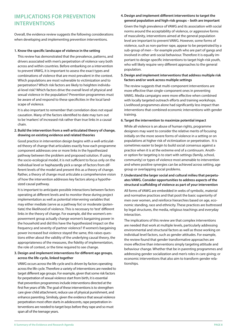# **Implications for prevention interventions**

Overall, the evidence review suggests the following considerations when developing and implementing prevention interventions.

#### **1. Know the specific landscape of violence in the setting**

This review has demonstrated that the prevalence, patterns, and drivers associated with men's perpetration of violence vary both across and within countries. Before embarking on a intervention to prevent VAWG, it is important to assess the exact types and combinations of violence that are most prevalent in the context. Which populations are most vulnerable to victimization and to perpetration? Which risk factors are likely to heighten individual-level risk? Which factors drive the overall level of physical and sexual violence in the population? Prevention programmes must be aware of and respond to these specificities in the local landscape of violence.

It is also important to remember that correlation does not equal causation. Many of the factors identified to date may turn out to be 'markers' of increased risk rather than true links in a causal chain.

**2. Build the intervention from a well-articulated theory of change, drawing on existing evidence and related theories**

Good practice in intervention design begins with a well-articulated theory of change that articulates exactly how each programme component addresses one or more links in the hypothesized pathway between the problem and proposed solution. If using the socio-ecological model, it is not sufficient to focus only on the individual level or haphazardly pick a range of factors from different levels of the model and present this as a theory of change. Rather, a theory of change must articulate a comprehensive vision of how the intervention addresses key factors along a hypothesized causal pathway.

It is important to anticipate possible interactions between factors operating at different levels and to monitor these during project implementation as well as potential intervening variables that may either mediate (serve as a pathway for) or moderate (potentiate) the likelihood of violence. This is necessary to 'test' different links in the theory of change. For example, did the women's empowerment group actually change women's bargaining power in the household and did this have the hypothesized impact on the frequency and severity of partner violence? If women's bargaining power increased but violence stayed the same, this raises questions either about the validity of the underlying causal theory, the appropriateness of the measures, the fidelity of implementation, the role of context, or the time required to see change.

### **3. Design and implement interventions for different age groups, across the life-cycle, linked together**

VAWG occurs across the life cycle and is driven by factors operating across the life cycle. Therefore a variety of interventions are needed to target different age groups. For example, given that some risk factors for perpetration of sexual violence start from birth, it is essential that prevention programmes include interventions directed at the first five years of life. The goal of these interventions is to strengthen care giver child attachment, reduce use of physical punishment, and enhance parenting. Similraly, given the evidence that sexual violence perpetration most often starts in adolescents, rape perpetration interventions are needed to target boys before they rape and so must span all of the teenage years.

### **4. Design and implement different interventions to target the general population and high-risk groups – both are important**

Given the high prevalence of VAWG and its association with social norms around the acceptability of violence, or aggressive forms of masculinity, interventions aimed at the general population level are important to prevent VAWG. However, some forms of violence, such as non-partner rape, appear to be perpetrated by a sub-group of men – for example youth who are part of gangs and involved in other anti-social behaviour. Therefore it is equally important to design specific interventions to target high-risk youth, who will likely require very different approaches to the general population.

**5. Design and implement interventions that address multiple risk factors and/or work across multiple settings**

The review suggests that multi-component interventions are more effective than single-component ones in preventing VAWG. Media campaigns were more effective when combined with locally targeted outreach efforts and training workshops. Livelihood programmes alone had significantly less impact than interventions that combined economic interventions with gender training.

#### **6. Target the intervention to maximize potential impact**

While all violence is an abuse of human rights, programme designers may want to consider the relative merits of focusing initially on the more severe forms of violence in a setting or on populations at higher risk of victimization or perpetration. It is sometimes easier to begin to build social consensus against a practice when it is at the extreme end of a continuum. Another option for targeting is to start with settings (family, school, community) or types of violence most amenable to intervention and where positive synergies can be achieved across setting, age group or overlapping social problems.

**7. Understand the larger social and cultural milieu that perpetuates VAWG. Consider opportunities to address aspects of the structural scaffolding of violence as part of your intervention**

All forms of VAWG are embedded in webs of symbolic, material and normative practices and that posit the basic superiority of men over women, and reinforce hierarchies based on age, economic standing, race and ethnicity. These practices are buttressed by legal structures, the media, religious teachings and everyday interaction.

The implications of this review are that complex interventions are needed that work at multiple levels, particularly addressing environmental and structural factors as well as those working on individual level factors, such as gender attitudes. For example, the review found that gender transformative approaches are more effective than interventions simply targeting attitude and behaviour change. Whether that be in parenting programmes and addressing gender socialization and men's roles in care giving; or economic interventions that also aim to transform gender relationships.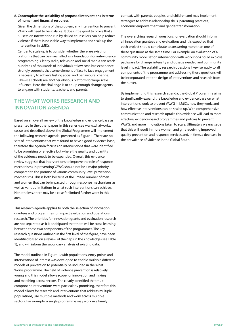### **8. Contemplate the scalability of proposed interventions in terms of human and financial resources**

Given the dimensions of the problem, any intervention to prevent VAWG will need to be scalable. It does little good to prove that a 50-session intervention run by skilled counsellors can help reduce violence if there is no viable way to implement and scale up the intervention in LMICs.

Central to scale up is to consider whether there are existing platforms that can be marshalled as a foundation for anti-violence programming. Clearly radio, television and social media can reach hundreds of thousands of individuals at low cost, but experience strongly suggests that some element of face to face engagement is necessary to achieve lasting social and behavioural change. Likewise schools are another obvious platform for large scale influence. Here the challenge is to equip enough change agents to engage with students, teachers, and parents.

# **The What Works research and innovation agenda**

Based on an overall review of the knowledge and evidence base as presented in the other papers in this series (see www.whatworks. co.za) and described above, the Global Programme will implement the following research agenda, presented as Figure 1. There are no sets of interventions that were found to have a good evidence base, therefore the agenda focuses on interventions that were identified to be promising or effective but where the quality and quantity of the evidence needs to be expanded. Overall, this evidence review suggests that interventions to improve the role of response mechanisms in preventing VAWG should not be a major priority compared to the promise of various community-level prevention mechanisms. This is both because of the limited number of men and women that can be impacted through response mechanisms as well as various limitations in what such interventions can achieve. Nonetheless, there may be a case for limited further work in this area.

This research agenda applies to both the selection of innovation grantees and programmes for impact evaluation and operations research. The priorities for innovation grants and evaluation research are not separated as it is anticipated that there will be cross-learning between these two components of the programmes. The key research questions outlined in the first level of the figure, have been identified based on a review of the gaps in the knowledge (see Table 1), and will inform the secondary analysis of existing data.

The model outlined in Figure 1, with populations, entry points and interventions of interest was developed to enable multiple different models of prevention to potentially be included in the What Works programme. The field of violence prevention is relatively young and this model allows scope for innovation and mixing and matching across sectors. The clearly identified that multicomponent interventions were particularly promising, therefore this model allows for research and interventions that address multiple populations, use multiple methods and work across multiple sectors. For example, a single programme may work in a family

context, with parents, couples, and children and may implement strategies to address relationship skills, parenting practices, economic empowerment and gender transformation.

The overarching research questions for evaluation should inform all innovation grantees and evaluations and it is expected that each project should contribute to answering more than one of these questions at the same time. For example, an evaluation of a community mobilisation intervention with workshops could explore pathways for change, intensity and dosage needed and community level impact. The scalability research questions likewise apply to all components of the programme and addressing these questions will be incorporated into the design of interventions and research from the outset.

By implementing this research agenda, the Global Programme aims to significantly expand the knowledge and evidence base on what interventions work to prevent VAWG in LMICs, how they work, and how effective interventions can be scaled up. With comprehensive communication and research uptake this evidence will lead to more effective, evidence-based programmes and policies to prevent VAWG, and more innovations taken to scale. Ultimately we envisage that this will result in more women and girls receiving improved quality prevention and response services and, in time, a decrease in the prevalence of violence in the Global South.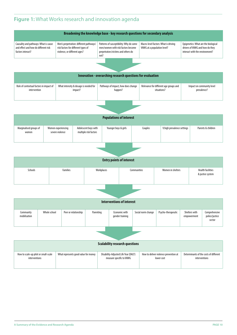# **Figure 1:** What Works research and innovation agenda

|                                                                                                    | Broadening the knowledge base - key research questions for secondary analysis                                  |                                                                                                                             |                                                                     |                                                                                                           |  |  |  |  |
|----------------------------------------------------------------------------------------------------|----------------------------------------------------------------------------------------------------------------|-----------------------------------------------------------------------------------------------------------------------------|---------------------------------------------------------------------|-----------------------------------------------------------------------------------------------------------|--|--|--|--|
|                                                                                                    |                                                                                                                |                                                                                                                             |                                                                     |                                                                                                           |  |  |  |  |
| Causality and pathways: What is cause<br>and effect and how do different risk<br>factors interact? | Men's perpetration: different pathways/<br>risk factors for different types of<br>violence, or different ages? | Patterns of susceptibility: Why do some<br>men/women with risk factors become<br>perpetrators/victims and others do<br>not? | Macro-level factors: What is driving<br>VAWG at a population level? | Epigenetics: What are the biological<br>drivers of VAWG and how do they<br>interact with the environment? |  |  |  |  |
|                                                                                                    |                                                                                                                |                                                                                                                             |                                                                     |                                                                                                           |  |  |  |  |
|                                                                                                    |                                                                                                                |                                                                                                                             |                                                                     |                                                                                                           |  |  |  |  |
|                                                                                                    | Innovation - overarching research questions for evaluation                                                     |                                                                                                                             |                                                                     |                                                                                                           |  |  |  |  |
|                                                                                                    |                                                                                                                |                                                                                                                             |                                                                     |                                                                                                           |  |  |  |  |
| Role of contextual factors in impact of<br>intervention                                            | What intensity & dosage is needed for<br>impact?                                                               | Pathways of impact, how does change<br>happen?                                                                              | Relevance for different age groups and<br>situations?               | Impact on community level<br>prevalence?                                                                  |  |  |  |  |
|                                                                                                    |                                                                                                                |                                                                                                                             |                                                                     |                                                                                                           |  |  |  |  |
|                                                                                                    |                                                                                                                |                                                                                                                             |                                                                     |                                                                                                           |  |  |  |  |
|                                                                                                    |                                                                                                                |                                                                                                                             |                                                                     |                                                                                                           |  |  |  |  |
| <b>Populations of interest</b>                                                                     |                                                                                                                |                                                                                                                             |                                                                     |                                                                                                           |  |  |  |  |

| <b>Populations of interest</b>  |                                       |                                               |                      |         |                            |                    |  |
|---------------------------------|---------------------------------------|-----------------------------------------------|----------------------|---------|----------------------------|--------------------|--|
| Marginalised groups of<br>women | Women experiencing<br>severe violence | Adolescent boys with<br>multiple risk factors | Younger boys & girls | Couples | V.high prevalence settings | Parents & children |  |
|                                 |                                       |                                               |                      |         |                            |                    |  |

| <b>Entry points of interest</b> |                 |            |             |                   |                                              |  |
|---------------------------------|-----------------|------------|-------------|-------------------|----------------------------------------------|--|
| Schools                         | <b>Families</b> | Workplaces | Communities | Women in shelters | <b>Health facilities</b><br>& justice system |  |

| Interventions of interest |              |                      |           |                                  |                    |                    |                              |                                           |
|---------------------------|--------------|----------------------|-----------|----------------------------------|--------------------|--------------------|------------------------------|-------------------------------------------|
| Community<br>mobilisation | Whole school | Peer or relationship | Parenting | Economic with<br>gender training | Social norm change | Psycho-therapeutic | Shelters with<br>empowerment | Comprehensive<br>police/justice<br>sector |
|                           |              |                      |           |                                  |                    |                    |                              |                                           |

| <b>Scalability research questions</b> |                                      |                                      |                                       |                                        |  |  |  |
|---------------------------------------|--------------------------------------|--------------------------------------|---------------------------------------|----------------------------------------|--|--|--|
| How to scale-up pilot or small-scale  | What represents good value for money | Disability-Adjusted Life Year (DALY) | How to deliver violence prevention at | Determinants of the costs of different |  |  |  |
| interventions                         |                                      | measure specific to VAWG             | lower cost                            | interventions                          |  |  |  |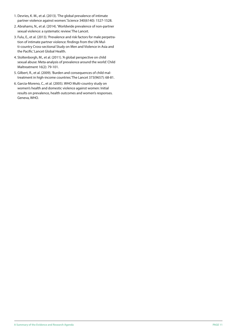- 1. Devries, K. M., et al. (2013). 'The global prevalence of intimate partner violence against women.' Science 340(6140): 1527-1528.
- 2. Abrahams, N., et al. (2014). 'Worldwide prevalence of non-partner sexual violence: a systematic review.' The Lancet.
- 3. Fulu, E., et al. (2013). 'Prevalence and risk factors for male perpetration of intimate partner violence: findings from the UN Multi-country Cross-sectional Study on Men and Violence in Asia and the Pacific.' Lancet Global Health.
- 4. Stoltenborgh, M., et al. (2011). 'A global perspective on child sexual abuse: Meta-analysis of prevalence around the world.' Child Maltreatment 16(2): 79-101.
- 5. Gilbert, R., et al. (2009). 'Burden and consequences of child maltreatment in high-income countries.' The Lancet 373(9657): 68-81.
- 6. Garcia-Moreno, C., et al. (2005). WHO Multi-country study on women's health and domestic violence against women: Initial results on prevalence, health outcomes and women's responses. Geneva, WHO.